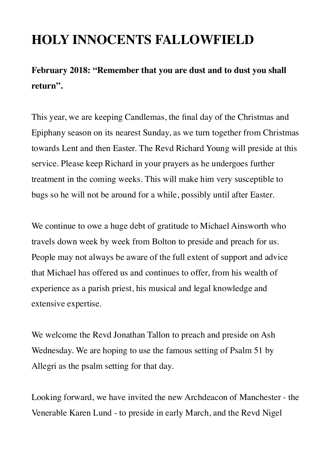# **HOLY INNOCENTS FALLOWFIELD**

### **February 2018: "Remember that you are dust and to dust you shall return".**

This year, we are keeping Candlemas, the final day of the Christmas and Epiphany season on its nearest Sunday, as we turn together from Christmas towards Lent and then Easter. The Revd Richard Young will preside at this service. Please keep Richard in your prayers as he undergoes further treatment in the coming weeks. This will make him very susceptible to bugs so he will not be around for a while, possibly until after Easter.

We continue to owe a huge debt of gratitude to Michael Ainsworth who travels down week by week from Bolton to preside and preach for us. People may not always be aware of the full extent of support and advice that Michael has offered us and continues to offer, from his wealth of experience as a parish priest, his musical and legal knowledge and extensive expertise.

We welcome the Revd Jonathan Tallon to preach and preside on Ash Wednesday. We are hoping to use the famous setting of Psalm 51 by Allegri as the psalm setting for that day.

Looking forward, we have invited the new Archdeacon of Manchester - the Venerable Karen Lund - to preside in early March, and the Revd Nigel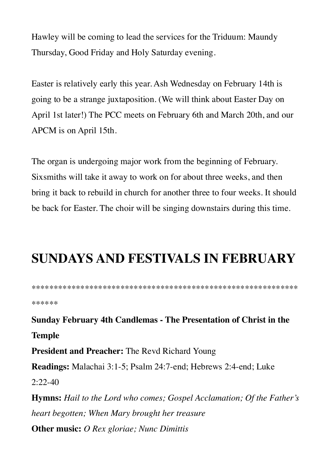Hawley will be coming to lead the services for the Triduum: Maundy Thursday, Good Friday and Holy Saturday evening.

Easter is relatively early this year. Ash Wednesday on February 14th is going to be a strange juxtaposition. (We will think about Easter Day on April 1st later!) The PCC meets on February 6th and March 20th, and our APCM is on April 15th.

The organ is undergoing major work from the beginning of February. Sixsmiths will take it away to work on for about three weeks, and then bring it back to rebuild in church for another three to four weeks. It should be back for Easter. The choir will be singing downstairs during this time.

## **SUNDAYS AND FESTIVALS IN FEBRUARY**

\*\*\*\*\*\* **Sunday February 4th Candlemas - The Presentation of Christ in the Temple President and Preacher: The Revd Richard Young** Readings: Malachai 3:1-5; Psalm 24:7-end; Hebrews 2:4-end; Luke  $2:22-40$ **Hymns:** Hail to the Lord who comes; Gospel Acclamation; Of the Father's heart begotten; When Mary brought her treasure **Other music:** O Rex gloriae; Nunc Dimittis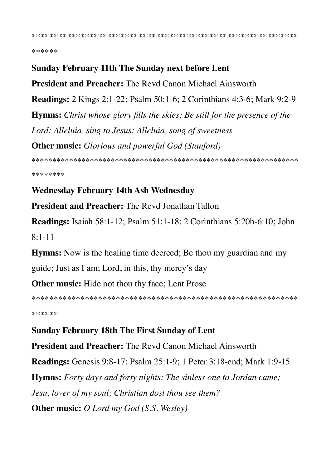\*\*\*\*\*\*

#### **Sunday February 11th The Sunday next before Lent**

**President and Preacher:** The Revd Canon Michael Ainsworth **Readings:** 2 Kings 2:1-22; Psalm 50:1-6; 2 Corinthians 4:3-6; Mark 9:2-9 **Hymns:** Christ whose glory fills the skies; Be still for the presence of the Lord; Alleluia, sing to Jesus; Alleluia, song of sweetness **Other music:** Glorious and powerful God (Stanford) 

\*\*\*\*\*\*\*\*

### **Wednesday February 14th Ash Wednesday**

**President and Preacher:** The Revd Jonathan Tallon

**Readings:** Isaiah 58:1-12: Psalm 51:1-18: 2 Corinthians 5:20b-6:10: John  $8:1-11$ 

**Hymns:** Now is the healing time decreed; Be thou my guardian and my

guide; Just as I am; Lord, in this, thy mercy's day

**Other music:** Hide not thou thy face; Lent Prose

\*\*\*\*\*\*

**Sunday February 18th The First Sunday of Lent President and Preacher:** The Revd Canon Michael Ainsworth **Readings:** Genesis 9:8-17; Psalm 25:1-9; 1 Peter 3:18-end; Mark 1:9-15 **Hymns:** Forty days and forty nights; The sinless one to Jordan came; Jesu, lover of my soul; Christian dost thou see them? **Other music:** O Lord my God (S.S. Wesley)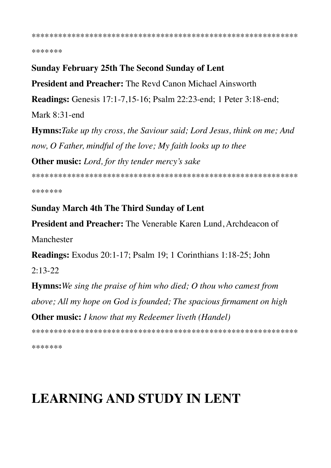\*\*\*\*\*\*\*

#### **Sunday February 25th The Second Sunday of Lent**

**President and Preacher:** The Revd Canon Michael Ainsworth

**Readings:** Genesis 17:1-7,15-16; Psalm 22:23-end; 1 Peter 3:18-end;

Mark  $8:31$ -end

**Hymns:** Take up thy cross, the Saviour said; Lord Jesus, think on me; And now, O Father, mindful of the love; My faith looks up to thee **Other music:** Lord, for thy tender mercy's sake

\*\*\*\*\*\*\*

#### **Sunday March 4th The Third Sunday of Lent**

**President and Preacher:** The Venerable Karen Lund, Archdeacon of Manchester

Readings: Exodus 20:1-17; Psalm 19; 1 Corinthians 1:18-25; John

 $2:13-22$ 

**Hymns:** We sing the praise of him who died; O thou who camest from above; All my hope on God is founded; The spacious firmament on high **Other music:** I know that my Redeemer liveth (Handel)

\*\*\*\*\*\*\*

## **LEARNING AND STUDY IN LENT**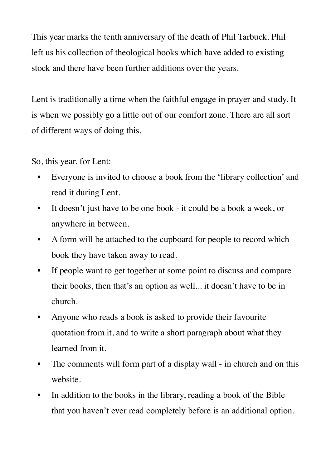This year marks the tenth anniversary of the death of Phil Tarbuck. Phil left us his collection of theological books which have added to existing stock and there have been further additions over the years.

Lent is traditionally a time when the faithful engage in prayer and study. It is when we possibly go a little out of our comfort zone. There are all sort of different ways of doing this.

So, this year, for Lent:

- Everyone is invited to choose a book from the 'library collection' and read it during Lent.
- It doesn't just have to be one book it could be a book a week, or anywhere in between.
- A form will be attached to the cupboard for people to record which book they have taken away to read.
- If people want to get together at some point to discuss and compare their books, then that's an option as well... it doesn't have to be in church.
- Anyone who reads a book is asked to provide their favourite quotation from it, and to write a short paragraph about what they learned from it.
- The comments will form part of a display wall in church and on this website.
- In addition to the books in the library, reading a book of the Bible that you haven't ever read completely before is an additional option.